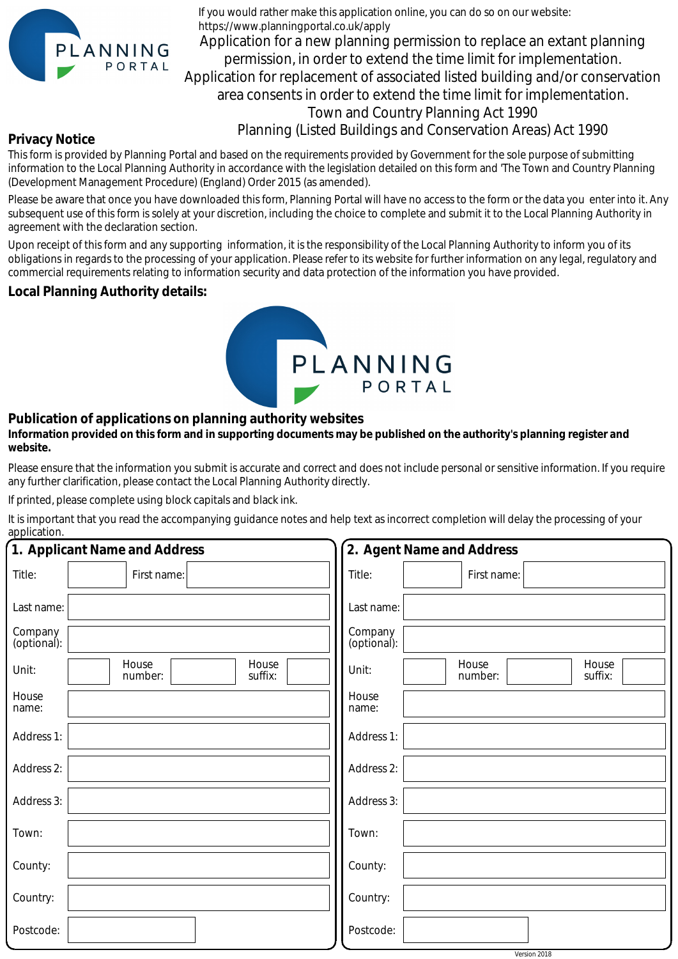

If you would rather make this application online, you can do so on our website: https://www.planningportal.co.uk/apply

Application for a new planning permission to replace an extant planning permission, in order to extend the time limit for implementation. Application for replacement of associated listed building and/or conservation area consents in order to extend the time limit for implementation. Town and Country Planning Act 1990

Planning (Listed Buildings and Conservation Areas) Act 1990

## **Privacy Notice**

This form is provided by Planning Portal and based on the requirements provided by Government for the sole purpose of submitting information to the Local Planning Authority in accordance with the legislation detailed on this form and 'The Town and Country Planning (Development Management Procedure) (England) Order 2015 (as amended).

Please be aware that once you have downloaded this form, Planning Portal will have no access to the form or the data you enter into it. Any subsequent use of this form is solely at your discretion, including the choice to complete and submit it to the Local Planning Authority in agreement with the declaration section.

Upon receipt of this form and any supporting information, it is the responsibility of the Local Planning Authority to inform you of its obligations in regards to the processing of your application. Please refer to its website for further information on any legal, regulatory and commercial requirements relating to information security and data protection of the information you have provided.

## **Local Planning Authority details:**



## **Publication of applications on planning authority websites**

## **Information provided on this form and in supporting documents may be published on the authority's planning register and website.**

Please ensure that the information you submit is accurate and correct and does not include personal or sensitive information. If you require any further clarification, please contact the Local Planning Authority directly.

If printed, please complete using block capitals and black ink.

It is important that you read the accompanying guidance notes and help text as incorrect completion will delay the processing of your application.

| 1. Applicant Name and Address |                                      | 2. Agent Name and Address                     |  |  |
|-------------------------------|--------------------------------------|-----------------------------------------------|--|--|
| Title:                        | First name:                          | Title:<br>First name:                         |  |  |
| Last name:                    |                                      | Last name:                                    |  |  |
| Company<br>(optional):        |                                      | Company<br>(optional):                        |  |  |
| Unit:                         | House<br>House<br>suffix:<br>number: | House<br>House<br>Unit:<br>number:<br>suffix: |  |  |
| House<br>name:                |                                      | House<br>name:                                |  |  |
| Address 1:                    |                                      | Address 1:                                    |  |  |
| Address 2:                    |                                      | Address 2:                                    |  |  |
| Address 3:                    |                                      | Address 3:                                    |  |  |
| Town:                         |                                      | Town:                                         |  |  |
| County:                       |                                      | County:                                       |  |  |
| Country:                      |                                      | Country:                                      |  |  |
| Postcode:                     |                                      | Postcode:                                     |  |  |
|                               |                                      | Version 2018                                  |  |  |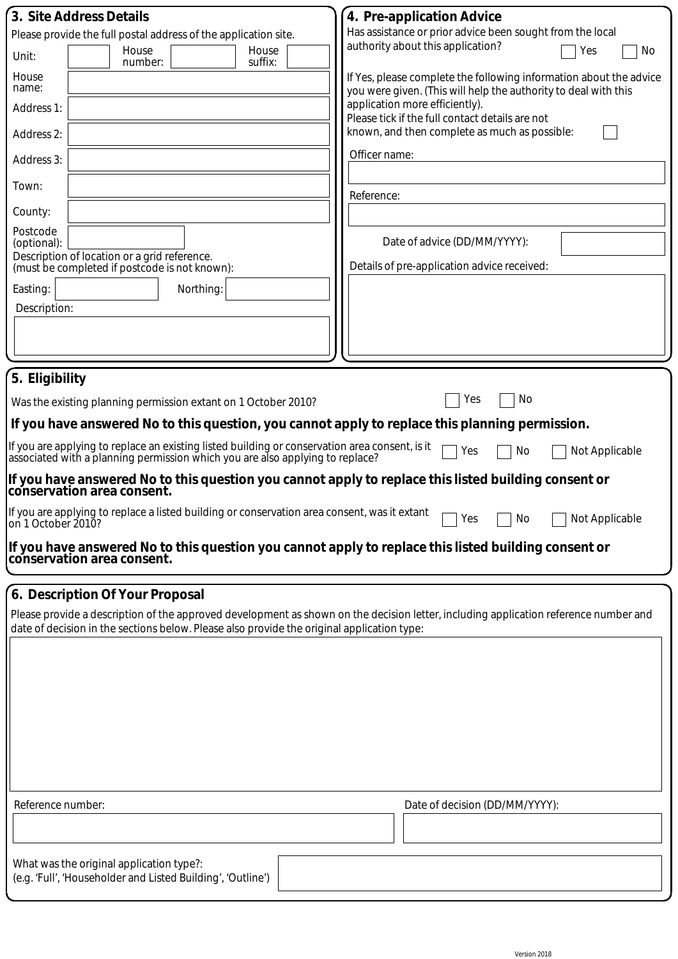| 3. Site Address Details<br>Please provide the full postal address of the application site.<br>House<br>House<br>Unit:<br>suffix:<br>number:<br>House<br>name:<br>Address 1:<br>Address 2:<br>Address 3:<br>Town:<br>County:<br>Postcode<br>(optional):<br>Description of location or a grid reference.<br>(must be completed if postcode is not known):<br>Easting:<br>Northing:<br>Description:                                                                                                                                                                                                                                                                                                                                                                                                                                                    | 4. Pre-application Advice<br>Has assistance or prior advice been sought from the local<br>authority about this application?<br>Yes<br>No<br>If Yes, please complete the following information about the advice<br>you were given. (This will help the authority to deal with this<br>application more efficiently).<br>Please tick if the full contact details are not<br>known, and then complete as much as possible:<br>Officer name:<br>Reference:<br>Date of advice (DD/MM/YYYY):<br>Details of pre-application advice received: |  |  |  |
|-----------------------------------------------------------------------------------------------------------------------------------------------------------------------------------------------------------------------------------------------------------------------------------------------------------------------------------------------------------------------------------------------------------------------------------------------------------------------------------------------------------------------------------------------------------------------------------------------------------------------------------------------------------------------------------------------------------------------------------------------------------------------------------------------------------------------------------------------------|---------------------------------------------------------------------------------------------------------------------------------------------------------------------------------------------------------------------------------------------------------------------------------------------------------------------------------------------------------------------------------------------------------------------------------------------------------------------------------------------------------------------------------------|--|--|--|
| 5. Eligibility<br>No<br>Yes<br>Was the existing planning permission extant on 1 October 2010?<br>If you have answered No to this question, you cannot apply to replace this planning permission.<br>If you are applying to replace an existing listed building or conservation area consent, is it<br>associated with a planning permission which you are also applying to replace?<br>No<br>Not Applicable<br>Yes<br>If you have answered No to this question you cannot apply to replace this listed building consent or<br>conservation area consent.<br>If you are applying to replace a listed building or conservation area consent, was it extant<br>Not Applicable<br>No<br>Yes<br>on 1 October 2010?<br>If you have answered No to this question you cannot apply to replace this listed building consent or<br>conservation area consent. |                                                                                                                                                                                                                                                                                                                                                                                                                                                                                                                                       |  |  |  |
| 6. Description Of Your Proposal<br>Please provide a description of the approved development as shown on the decision letter, including application reference number and<br>date of decision in the sections below. Please also provide the original application type:<br>Reference number:                                                                                                                                                                                                                                                                                                                                                                                                                                                                                                                                                          | Date of decision (DD/MM/YYYY):                                                                                                                                                                                                                                                                                                                                                                                                                                                                                                        |  |  |  |
| What was the original application type?:<br>(e.g. 'Full', 'Householder and Listed Building', 'Outline')                                                                                                                                                                                                                                                                                                                                                                                                                                                                                                                                                                                                                                                                                                                                             |                                                                                                                                                                                                                                                                                                                                                                                                                                                                                                                                       |  |  |  |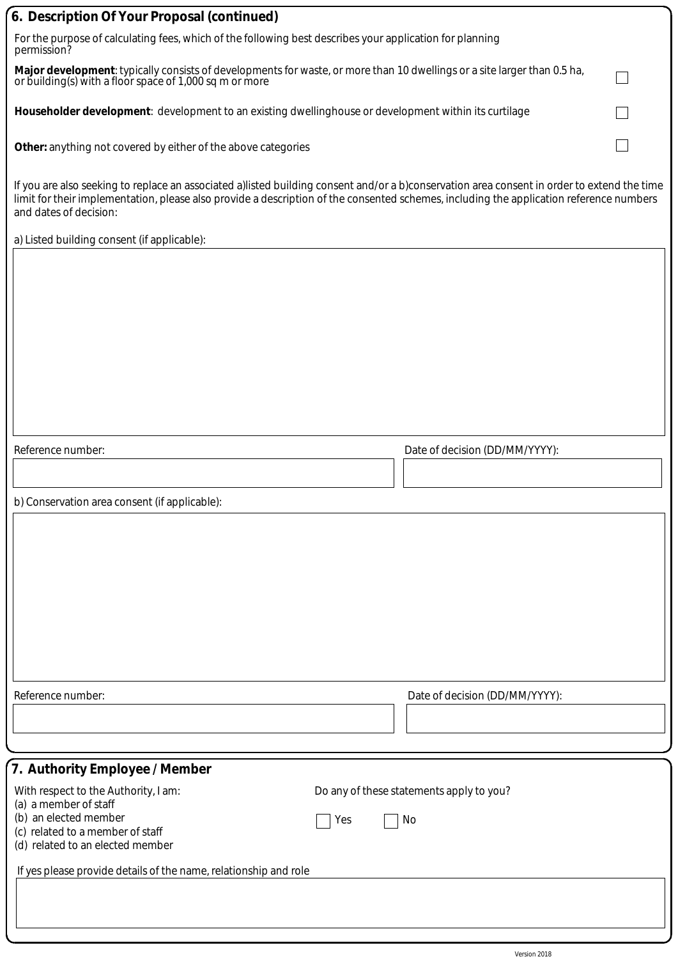| 6. Description Of Your Proposal (continued)                                                                                                                                                                                                                                                                      |                                          |  |  |  |
|------------------------------------------------------------------------------------------------------------------------------------------------------------------------------------------------------------------------------------------------------------------------------------------------------------------|------------------------------------------|--|--|--|
| For the purpose of calculating fees, which of the following best describes your application for planning<br>permission?                                                                                                                                                                                          |                                          |  |  |  |
| Major development: typically consists of developments for waste, or more than 10 dwellings or a site larger than 0.5 ha,<br>or building(s) with a floor space of 1,000 sq m or more                                                                                                                              |                                          |  |  |  |
| Householder development: development to an existing dwellinghouse or development within its curtilage                                                                                                                                                                                                            |                                          |  |  |  |
| Other: anything not covered by either of the above categories                                                                                                                                                                                                                                                    |                                          |  |  |  |
| If you are also seeking to replace an associated a)listed building consent and/or a b)conservation area consent in order to extend the time<br>limit for their implementation, please also provide a description of the consented schemes, including the application reference numbers<br>and dates of decision: |                                          |  |  |  |
| a) Listed building consent (if applicable):                                                                                                                                                                                                                                                                      |                                          |  |  |  |
|                                                                                                                                                                                                                                                                                                                  |                                          |  |  |  |
| Reference number:                                                                                                                                                                                                                                                                                                | Date of decision (DD/MM/YYYY):           |  |  |  |
|                                                                                                                                                                                                                                                                                                                  |                                          |  |  |  |
|                                                                                                                                                                                                                                                                                                                  |                                          |  |  |  |
| b) Conservation area consent (if applicable):                                                                                                                                                                                                                                                                    |                                          |  |  |  |
|                                                                                                                                                                                                                                                                                                                  |                                          |  |  |  |
|                                                                                                                                                                                                                                                                                                                  |                                          |  |  |  |
|                                                                                                                                                                                                                                                                                                                  |                                          |  |  |  |
|                                                                                                                                                                                                                                                                                                                  |                                          |  |  |  |
|                                                                                                                                                                                                                                                                                                                  |                                          |  |  |  |
|                                                                                                                                                                                                                                                                                                                  |                                          |  |  |  |
|                                                                                                                                                                                                                                                                                                                  |                                          |  |  |  |
| Reference number:                                                                                                                                                                                                                                                                                                | Date of decision (DD/MM/YYYY):           |  |  |  |
|                                                                                                                                                                                                                                                                                                                  |                                          |  |  |  |
|                                                                                                                                                                                                                                                                                                                  |                                          |  |  |  |
|                                                                                                                                                                                                                                                                                                                  |                                          |  |  |  |
| 7. Authority Employee / Member                                                                                                                                                                                                                                                                                   |                                          |  |  |  |
| With respect to the Authority, I am:<br>(a) a member of staff                                                                                                                                                                                                                                                    | Do any of these statements apply to you? |  |  |  |
| (b) an elected member<br>(c) related to a member of staff                                                                                                                                                                                                                                                        | No<br>Yes                                |  |  |  |
| (d) related to an elected member                                                                                                                                                                                                                                                                                 |                                          |  |  |  |
| If yes please provide details of the name, relationship and role                                                                                                                                                                                                                                                 |                                          |  |  |  |
|                                                                                                                                                                                                                                                                                                                  |                                          |  |  |  |
|                                                                                                                                                                                                                                                                                                                  |                                          |  |  |  |
|                                                                                                                                                                                                                                                                                                                  |                                          |  |  |  |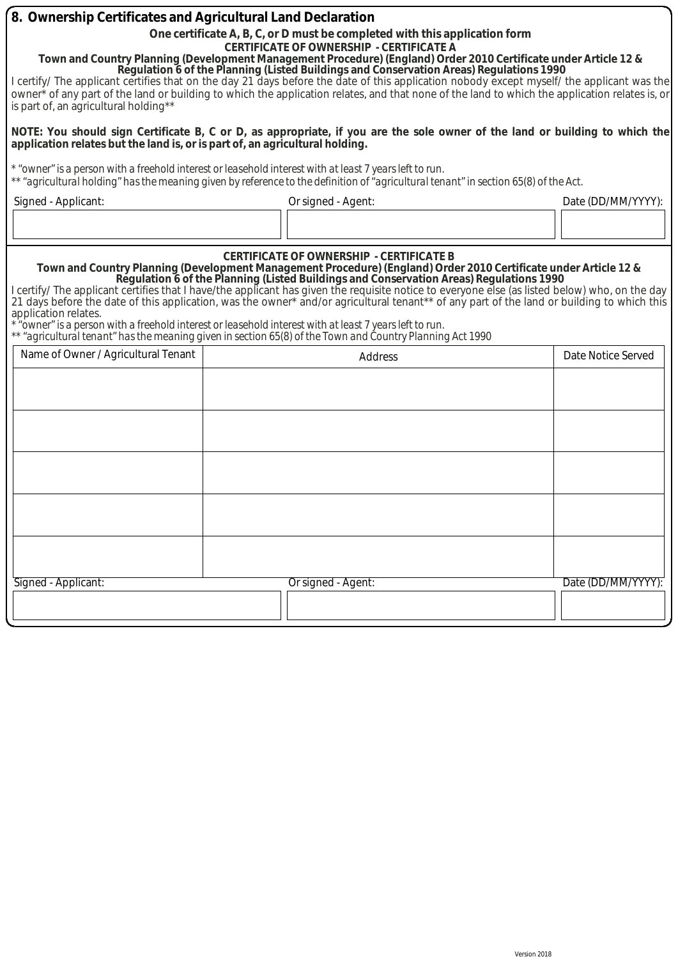| 8. Ownership Certificates and Agricultural Land Declaration<br>is part of, an agricultural holding**<br>application relates but the land is, or is part of, an agricultural holding.                                                                                                                                                                                                                                                                                                                                                                                                                                                                                                                                                                     | One certificate A, B, C, or D must be completed with this application form<br><b>CERTIFICATE OF OWNERSHIP - CERTIFICATE A</b><br>Town and Country Planning (Development Management Procedure) (England) Order 2010 Certificate under Article 12 &<br>Regulation 6 of the Planning (Listed Buildings and Conservation Areas) Regulations 1990<br>I certify/ The applicant certifies that on the day 21 days before the date of this application nobody except myself/ the applicant was the<br>owner <sup>*</sup> of any part of the land or building to which the application relates, and that none of the land to which the application relates is, or<br>NOTE: You should sign Certificate B, C or D, as appropriate, if you are the sole owner of the land or building to which the |                    |  |  |  |
|----------------------------------------------------------------------------------------------------------------------------------------------------------------------------------------------------------------------------------------------------------------------------------------------------------------------------------------------------------------------------------------------------------------------------------------------------------------------------------------------------------------------------------------------------------------------------------------------------------------------------------------------------------------------------------------------------------------------------------------------------------|-----------------------------------------------------------------------------------------------------------------------------------------------------------------------------------------------------------------------------------------------------------------------------------------------------------------------------------------------------------------------------------------------------------------------------------------------------------------------------------------------------------------------------------------------------------------------------------------------------------------------------------------------------------------------------------------------------------------------------------------------------------------------------------------|--------------------|--|--|--|
|                                                                                                                                                                                                                                                                                                                                                                                                                                                                                                                                                                                                                                                                                                                                                          | * "owner" is a person with a freehold interest or leasehold interest with at least 7 years left to run.<br>** "agricultural holding" has the meaning given by reference to the definition of "agricultural tenant" in section 65(8) of the Act.                                                                                                                                                                                                                                                                                                                                                                                                                                                                                                                                         |                    |  |  |  |
| Signed - Applicant:                                                                                                                                                                                                                                                                                                                                                                                                                                                                                                                                                                                                                                                                                                                                      | Or signed - Agent:                                                                                                                                                                                                                                                                                                                                                                                                                                                                                                                                                                                                                                                                                                                                                                      | Date (DD/MM/YYYY): |  |  |  |
| Town and Country Planning (Development Management Procedure) (England) Order 2010 Certificate under Article 12 &<br>Regulation 6 of the Planning (Listed Buildings and Conservation Areas) Regulations 1990<br>I certify/ The applicant certifies that I have/the applicant has given the requisite notice to everyone else (as listed below) who, on the day<br>21 days before the date of this application, was the owner* and/or agricultural tenant** of any part of the land or building to which this<br>application relates.<br>owner" is a person with a freehold interest or leasehold interest with at least 7 years left to run"<br>** "agricultural tenant" has the meaning given in section 65(8) of the Town and Country Planning Act 1990 |                                                                                                                                                                                                                                                                                                                                                                                                                                                                                                                                                                                                                                                                                                                                                                                         |                    |  |  |  |
| Name of Owner / Agricultural Tenant                                                                                                                                                                                                                                                                                                                                                                                                                                                                                                                                                                                                                                                                                                                      | Address                                                                                                                                                                                                                                                                                                                                                                                                                                                                                                                                                                                                                                                                                                                                                                                 | Date Notice Served |  |  |  |
| Signed - Applicant:                                                                                                                                                                                                                                                                                                                                                                                                                                                                                                                                                                                                                                                                                                                                      | Or signed - Agent:                                                                                                                                                                                                                                                                                                                                                                                                                                                                                                                                                                                                                                                                                                                                                                      | Date (DD/MM/YYYY): |  |  |  |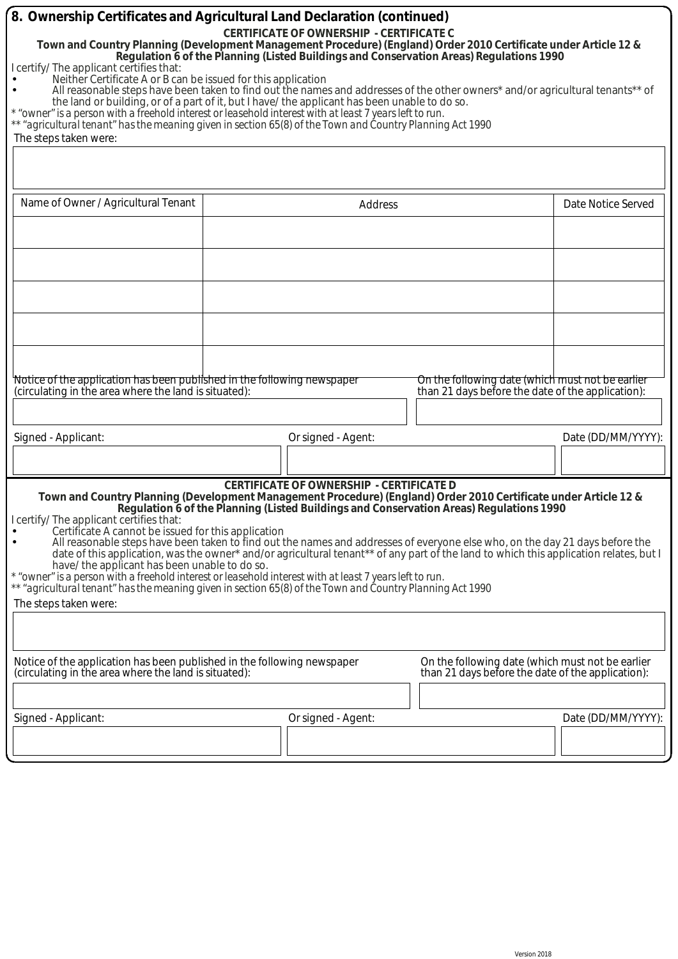| 8. Ownership Certificates and Agricultural Land Declaration (continued)                                                                                                                                                                                                                                                                                                                                                                                                                                                  |                                                                                                                                                                                                                                                                |                                                   |                    |  |  |  |
|--------------------------------------------------------------------------------------------------------------------------------------------------------------------------------------------------------------------------------------------------------------------------------------------------------------------------------------------------------------------------------------------------------------------------------------------------------------------------------------------------------------------------|----------------------------------------------------------------------------------------------------------------------------------------------------------------------------------------------------------------------------------------------------------------|---------------------------------------------------|--------------------|--|--|--|
| <b>CERTIFICATE OF OWNERSHIP - CERTIFICATE C</b><br>Town and Country Planning (Development Management Procedure) (England) Order 2010 Certificate under Article 12 &<br>Regulation 6 of the Planning (Listed Buildings and Conservation Areas) Regulations 1990<br>I certify/ The applicant certifies that:                                                                                                                                                                                                               |                                                                                                                                                                                                                                                                |                                                   |                    |  |  |  |
| Neither Certificate A or B can be issued for this application<br>All reasonable steps have been taken to find out the names and addresses of the other owners* and/or agricultural tenants** of<br>the land or building, or of a part of it, but I have/ the applicant has been unable to do so.<br>* "owner" is a person with a freehold interest or leasehold interest with at least 7 years left to run.<br>** "agricultural tenant" has the meaning given in section 65(8) of the Town and Country Planning Act 1990 |                                                                                                                                                                                                                                                                |                                                   |                    |  |  |  |
| The steps taken were:                                                                                                                                                                                                                                                                                                                                                                                                                                                                                                    |                                                                                                                                                                                                                                                                |                                                   |                    |  |  |  |
|                                                                                                                                                                                                                                                                                                                                                                                                                                                                                                                          |                                                                                                                                                                                                                                                                |                                                   |                    |  |  |  |
| Name of Owner / Agricultural Tenant                                                                                                                                                                                                                                                                                                                                                                                                                                                                                      | Address                                                                                                                                                                                                                                                        |                                                   | Date Notice Served |  |  |  |
|                                                                                                                                                                                                                                                                                                                                                                                                                                                                                                                          |                                                                                                                                                                                                                                                                |                                                   |                    |  |  |  |
|                                                                                                                                                                                                                                                                                                                                                                                                                                                                                                                          |                                                                                                                                                                                                                                                                |                                                   |                    |  |  |  |
|                                                                                                                                                                                                                                                                                                                                                                                                                                                                                                                          |                                                                                                                                                                                                                                                                |                                                   |                    |  |  |  |
|                                                                                                                                                                                                                                                                                                                                                                                                                                                                                                                          |                                                                                                                                                                                                                                                                |                                                   |                    |  |  |  |
|                                                                                                                                                                                                                                                                                                                                                                                                                                                                                                                          |                                                                                                                                                                                                                                                                |                                                   |                    |  |  |  |
|                                                                                                                                                                                                                                                                                                                                                                                                                                                                                                                          |                                                                                                                                                                                                                                                                |                                                   |                    |  |  |  |
|                                                                                                                                                                                                                                                                                                                                                                                                                                                                                                                          |                                                                                                                                                                                                                                                                |                                                   |                    |  |  |  |
| Notice of the application has been published in the following newspaper                                                                                                                                                                                                                                                                                                                                                                                                                                                  |                                                                                                                                                                                                                                                                | On the following date (which must not be earlier  |                    |  |  |  |
| (circulating in the area where the land is situated):                                                                                                                                                                                                                                                                                                                                                                                                                                                                    |                                                                                                                                                                                                                                                                | than 21 days before the date of the application): |                    |  |  |  |
|                                                                                                                                                                                                                                                                                                                                                                                                                                                                                                                          |                                                                                                                                                                                                                                                                |                                                   |                    |  |  |  |
| Signed - Applicant:                                                                                                                                                                                                                                                                                                                                                                                                                                                                                                      | Or signed - Agent:                                                                                                                                                                                                                                             |                                                   | Date (DD/MM/YYYY): |  |  |  |
|                                                                                                                                                                                                                                                                                                                                                                                                                                                                                                                          |                                                                                                                                                                                                                                                                |                                                   |                    |  |  |  |
|                                                                                                                                                                                                                                                                                                                                                                                                                                                                                                                          | <b>CERTIFICATE OF OWNERSHIP - CERTIFICATE D</b><br>Town and Country Planning (Development Management Procedure) (England) Order 2010 Certificate under Article 12 &<br>Regulation 6 of the Planning (Listed Buildings and Conservation Areas) Regulations 1990 |                                                   |                    |  |  |  |
| I certify/ The applicant certifies that:                                                                                                                                                                                                                                                                                                                                                                                                                                                                                 |                                                                                                                                                                                                                                                                |                                                   |                    |  |  |  |
| Certificate A cannot be issued for this application<br>All reasonable steps have been taken to find out the names and addresses of everyone else who, on the day 21 days before the                                                                                                                                                                                                                                                                                                                                      |                                                                                                                                                                                                                                                                |                                                   |                    |  |  |  |
| date of this application, was the owner* and/or agricultural tenant** of any part of the land to which this application relates, but I<br>have/ the applicant has been unable to do so.                                                                                                                                                                                                                                                                                                                                  |                                                                                                                                                                                                                                                                |                                                   |                    |  |  |  |
| * "owner" is a person with a freehold interest or leasehold interest with at least 7 years left to run.<br>** "agricultural tenant" has the meaning given in section 65(8) of the Town and Country Planning Act 1990                                                                                                                                                                                                                                                                                                     |                                                                                                                                                                                                                                                                |                                                   |                    |  |  |  |
| The steps taken were:                                                                                                                                                                                                                                                                                                                                                                                                                                                                                                    |                                                                                                                                                                                                                                                                |                                                   |                    |  |  |  |
|                                                                                                                                                                                                                                                                                                                                                                                                                                                                                                                          |                                                                                                                                                                                                                                                                |                                                   |                    |  |  |  |
| Notice of the application has been published in the following newspaper                                                                                                                                                                                                                                                                                                                                                                                                                                                  |                                                                                                                                                                                                                                                                | On the following date (which must not be earlier  |                    |  |  |  |
| (circulating in the area where the land is situated):                                                                                                                                                                                                                                                                                                                                                                                                                                                                    |                                                                                                                                                                                                                                                                | than 21 days before the date of the application): |                    |  |  |  |
|                                                                                                                                                                                                                                                                                                                                                                                                                                                                                                                          |                                                                                                                                                                                                                                                                |                                                   |                    |  |  |  |
| Signed - Applicant:                                                                                                                                                                                                                                                                                                                                                                                                                                                                                                      | Or signed - Agent:                                                                                                                                                                                                                                             |                                                   | Date (DD/MM/YYYY): |  |  |  |
|                                                                                                                                                                                                                                                                                                                                                                                                                                                                                                                          |                                                                                                                                                                                                                                                                |                                                   |                    |  |  |  |
|                                                                                                                                                                                                                                                                                                                                                                                                                                                                                                                          |                                                                                                                                                                                                                                                                |                                                   |                    |  |  |  |